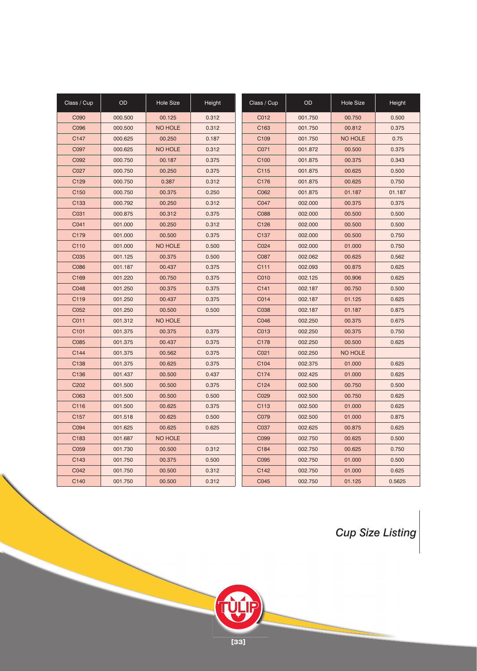| Class / Cup      | <b>OD</b> | <b>Hole Size</b> | Height | Class / Cup      | <b>OD</b> | <b>Hole Size</b> | Height |
|------------------|-----------|------------------|--------|------------------|-----------|------------------|--------|
| C090             | 000.500   | 00.125           | 0.312  | C012             | 001.750   | 00.750           | 0.500  |
| C096             | 000.500   | <b>NO HOLE</b>   | 0.312  | C <sub>163</sub> | 001.750   | 00.812           | 0.375  |
| C147             | 000.625   | 00.250           | 0.187  | C <sub>109</sub> | 001.750   | <b>NO HOLE</b>   | 0.75   |
| C097             | 000.625   | <b>NO HOLE</b>   | 0.312  | C071             | 001.872   | 00.500           | 0.375  |
| C092             | 000.750   | 00.187           | 0.375  | C <sub>100</sub> | 001.875   | 00.375           | 0.343  |
| C027             | 000.750   | 00.250           | 0.375  | C115             | 001.875   | 00.625           | 0.500  |
| C129             | 000.750   | 0.387            | 0.312  | C176             | 001.875   | 00.625           | 0.750  |
| C <sub>150</sub> | 000.750   | 00.375           | 0.250  | C062             | 001.875   | 01.187           | 01.187 |
| C <sub>133</sub> | 000.792   | 00.250           | 0.312  | C047             | 002.000   | 00.375           | 0.375  |
| C031             | 000.875   | 00.312           | 0.375  | C088             | 002.000   | 00.500           | 0.500  |
| C041             | 001.000   | 00.250           | 0.312  | C126             | 002.000   | 00.500           | 0.500  |
| C179             | 001.000   | 00.500           | 0.375  | C <sub>137</sub> | 002.000   | 00.500           | 0.750  |
| C110             | 001.000   | <b>NO HOLE</b>   | 0.500  | C024             | 002.000   | 01.000           | 0.750  |
| C035             | 001.125   | 00.375           | 0.500  | C087             | 002.062   | 00.625           | 0.562  |
| C086             | 001.187   | 00.437           | 0.375  | C111             | 002.093   | 00.875           | 0.625  |
| C169             | 001.220   | 00.750           | 0.375  | C010             | 002.125   | 00.906           | 0.625  |
| C048             | 001.250   | 00.375           | 0.375  | C141             | 002.187   | 00.750           | 0.500  |
| C119             | 001.250   | 00.437           | 0.375  | C014             | 002.187   | 01.125           | 0.625  |
| C052             | 001.250   | 00.500           | 0.500  | C038             | 002.187   | 01.187           | 0.875  |
| C011             | 001.312   | <b>NO HOLE</b>   |        | C046             | 002.250   | 00.375           | 0.675  |
| C101             | 001.375   | 00.375           | 0.375  | C013             | 002.250   | 00.375           | 0.750  |
| C085             | 001.375   | 00.437           | 0.375  | C178             | 002.250   | 00.500           | 0.625  |
| C144             | 001.375   | 00.562           | 0.375  | C021             | 002.250   | <b>NO HOLE</b>   |        |
| C138             | 001.375   | 00.625           | 0.375  | C104             | 002.375   | 01.000           | 0.625  |
| C136             | 001.437   | 00.500           | 0.437  | C174             | 002.425   | 01.000           | 0.625  |
| C202             | 001.500   | 00.500           | 0.375  | C124             | 002.500   | 00.750           | 0.500  |
| C063             | 001.500   | 00.500           | 0.500  | C029             | 002.500   | 00.750           | 0.625  |
| C116             | 001.500   | 00.625           | 0.375  | C113             | 002.500   | 01.000           | 0.625  |
| C157             | 001.518   | 00.625           | 0.500  | C079             | 002.500   | 01.000           | 0.875  |
| C094             | 001.625   | 00.625           | 0.625  | C037             | 002.625   | 00.875           | 0.625  |
| C183             | 001.687   | <b>NO HOLE</b>   |        | C099             | 002.750   | 00.625           | 0.500  |
| C059             | 001.730   | 00.500           | 0.312  | C184             | 002.750   | 00.625           | 0.750  |
| C143             | 001.750   | 00.375           | 0.500  | C095             | 002.750   | 01.000           | 0.500  |
| C042             | 001.750   | 00.500           | 0.312  | C142             | 002.750   | 01.000           | 0.625  |
| C140             | 001.750   | 00.500           | 0.312  | C045             | 002.750   | 01.125           | 0.5625 |

*Cup Size Listing*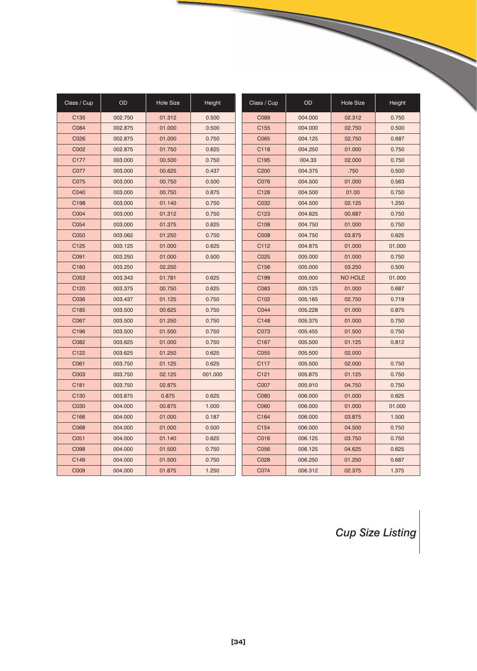| Class / Cup | OD      | <b>Hole Size</b> | Height  | Class / Cup      | <b>OD</b> | <b>Hole Size</b> | Height |
|-------------|---------|------------------|---------|------------------|-----------|------------------|--------|
| C135        | 002.750 | 01.312           | 0.500   | C089             | 004.000   | 02.312           | 0.750  |
| C084        | 002.875 | 01.000           | 0.500   | C155             | 004.000   | 02.750           | 0.500  |
| C026        | 002.875 | 01.000           | 0.750   | C065             | 004.125   | 02.750           | 0.687  |
| C002        | 002.875 | 01.750           | 0.625   | C118             | 004.250   | 01.000           | 0.750  |
| C177        | 003.000 | 00.500           | 0.750   | C195             | 004.33    | 02.000           | 0.750  |
| C077        | 003.000 | 00.625           | 0.437   | C200             | 004.375   | .750             | 0.500  |
| C075        | 003.000 | 00.750           | 0.500   | C076             | 004.500   | 01.000           | 0.563  |
| C040        | 003.000 | 00.750           | 0.875   | C128             | 004.500   | 01.00            | 0.750  |
| C198        | 003.000 | 01.140           | 0.750   | C032             | 004.500   | 02.125           | 1.250  |
| C004        | 003.000 | 01.312           | 0.750   | C123             | 004.625   | 00.687           | 0.750  |
| C054        | 003.000 | 01.375           | 0.625   | C108             | 004.750   | 01.000           | 0.750  |
| C050        | 003.062 | 01.250           | 0.750   | C008             | 004.750   | 03.875           | 0.625  |
| C125        | 003.125 | 01.000           | 0.625   | C112             | 004.875   | 01.000           | 01.000 |
| C091        | 003.250 | 01.000           | 0.500   | C025             | 005.000   | 01.000           | 0.750  |
| C180        | 003.250 | 02.250           |         | C156             | 005.000   | 03.250           | 0.500  |
| C053        | 003.343 | 01.781           | 0.625   | C199             | 005.000   | <b>NO HOLE</b>   | 01.000 |
| C120        | 003.375 | 00.750           | 0.625   | C083             | 005.125   | 01.000           | 0.687  |
| C036        | 003.437 | 01.125           | 0.750   | C <sub>102</sub> | 005.165   | 02.750           | 0.719  |
| C185        | 003.500 | 00.625           | 0.750   | C044             | 005.228   | 01.000           | 0.875  |
| C067        | 003.500 | 01.250           | 0.750   | C148             | 005.375   | 01.000           | 0.750  |
| C196        | 003.500 | 01.500           | 0.750   | C073             | 005.455   | 01.500           | 0.750  |
| C082        | 003.625 | 01.000           | 0.750   | C167             | 005.500   | 01.125           | 0.812  |
| C122        | 003.625 | 01.250           | 0.625   | C055             | 005.500   | 02.000           |        |
| C061        | 003.750 | 01.125           | 0.625   | C117             | 005.500   | 02.000           | 0.750  |
| C003        | 003.750 | 02.125           | 001.000 | C <sub>121</sub> | 005.875   | 01.125           | 0.750  |
| C181        | 003.750 | 02.875           |         | C007             | 005.910   | 04.750           | 0.750  |
| C130        | 003.875 | 0.875            | 0.625   | C080             | 006.000   | 01.000           | 0.625  |
| C030        | 004.000 | 00.875           | 1.000   | C060             | 006.000   | 01.000           | 01.000 |
| C166        | 004.000 | 01.000           | 0.187   | C164             | 006.000   | 03.875           | 1.500  |
| C068        | 004.000 | 01.000           | 0.500   | C154             | 006.000   | 04.500           | 0.750  |
| C051        | 004.000 | 01.140           | 0.625   | C016             | 006.125   | 03.750           | 0.750  |
| C098        | 004.000 | 01.500           | 0.750   | C056             | 006.125   | 04.625           | 0.625  |
| C149        | 004.000 | 01.500           | 0.750   | C028             | 006.250   | 01.250           | 0.687  |
| C009        | 004.000 | 01.875           | 1.250   | C074             | 006.312   | 02.375           | 1.375  |

*Cup Size Listing*